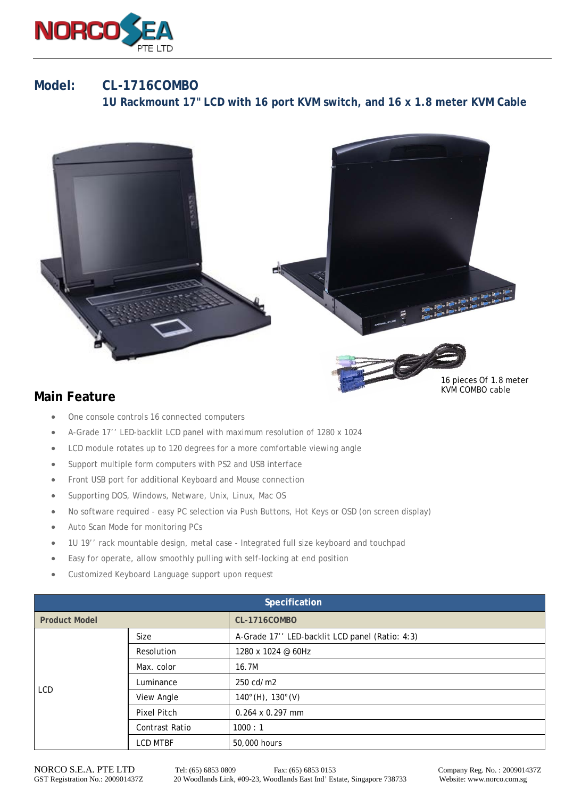

## **Model: CL-1716COMBO**

 **1U Rackmount 17" LCD with 16 port KVM switch, and 16 x 1.8 meter KVM Cable** 



16 pieces Of 1.8 meter KVM COMBO cable

## **Main Feature**

- One console controls 16 connected computers
- A-Grade 17'' LED-backlit LCD panel with maximum resolution of 1280 x 1024
- LCD module rotates up to 120 degrees for a more comfortable viewing angle
- Support multiple form computers with PS2 and USB interface
- Front USB port for additional Keyboard and Mouse connection
- Supporting DOS, Windows, Netware, Unix, Linux, Mac OS
- No software required easy PC selection via Push Buttons, Hot Keys or OSD (on screen display)
- Auto Scan Mode for monitoring PCs
- 1U 19'' rack mountable design, metal case Integrated full size keyboard and touchpad
- Easy for operate, allow smoothly pulling with self-locking at end position
- Customized Keyboard Language support upon request

| Specification        |                       |                                                |  |  |
|----------------------|-----------------------|------------------------------------------------|--|--|
| <b>Product Model</b> |                       | <b>CL-1716COMBO</b>                            |  |  |
| <b>LCD</b>           | Size                  | A-Grade 17" LED-backlit LCD panel (Ratio: 4:3) |  |  |
|                      | Resolution            | 1280 x 1024 @ 60Hz                             |  |  |
|                      | Max. color            | 16.7M                                          |  |  |
|                      | Luminance             | 250 cd/m2                                      |  |  |
|                      | View Angle            | $140^{\circ}$ (H), $130^{\circ}$ (V)           |  |  |
|                      | Pixel Pitch           | $0.264 \times 0.297$ mm                        |  |  |
|                      | <b>Contrast Ratio</b> | 1000:1                                         |  |  |
|                      | <b>LCD MTBF</b>       | 50,000 hours                                   |  |  |